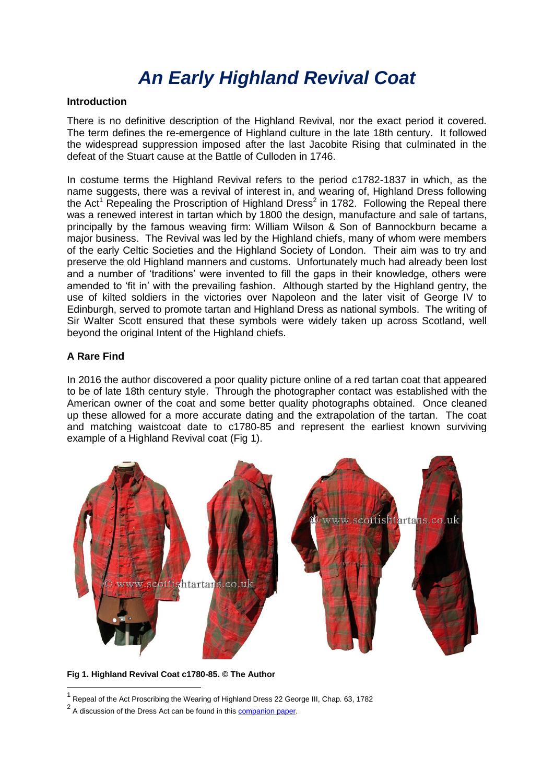# *An Early Highland Revival Coat*

#### **Introduction**

There is no definitive description of the Highland Revival, nor the exact period it covered. The term defines the re-emergence of Highland culture in the late 18th century. It followed the widespread suppression imposed after the last Jacobite Rising that culminated in the defeat of the Stuart cause at the Battle of Culloden in 1746.

In costume terms the Highland Revival refers to the period c1782-1837 in which, as the name suggests, there was a revival of interest in, and wearing of, Highland Dress following the Act<sup>1</sup> Repealing the Proscription of Highland Dress<sup>2</sup> in 1782. Following the Repeal there was a renewed interest in tartan which by 1800 the design, manufacture and sale of tartans, principally by the famous weaving firm: William Wilson & Son of Bannockburn became a major business. The Revival was led by the Highland chiefs, many of whom were members of the early Celtic Societies and the Highland Society of London. Their aim was to try and preserve the old Highland manners and customs. Unfortunately much had already been lost and a number of 'traditions' were invented to fill the gaps in their knowledge, others were amended to 'fit in' with the prevailing fashion. Although started by the Highland gentry, the use of kilted soldiers in the victories over Napoleon and the later visit of George IV to Edinburgh, served to promote tartan and Highland Dress as national symbols. The writing of Sir Walter Scott ensured that these symbols were widely taken up across Scotland, well beyond the original Intent of the Highland chiefs.

### **A Rare Find**

-

In 2016 the author discovered a poor quality picture online of a red tartan coat that appeared to be of late 18th century style. Through the photographer contact was established with the American owner of the coat and some better quality photographs obtained. Once cleaned up these allowed for a more accurate dating and the extrapolation of the tartan. The coat and matching waistcoat date to c1780-85 and represent the earliest known surviving example of a Highland Revival coat (Fig 1).



**Fig 1. Highland Revival Coat c1780-85. © The Author**

<sup>&</sup>lt;sup>1</sup> Repeal of the Act Proscribing the Wearing of Highland Dress 22 George III, Chap. 63, 1782

<sup>&</sup>lt;sup>2</sup> A discussion of the Dress Act can be found in this [companion paper.](http://www.scottishtartans.co.uk/Act_of_Proscription_1747_-_The_Tartan_Ban_-_Fact_or_Myth.pdf)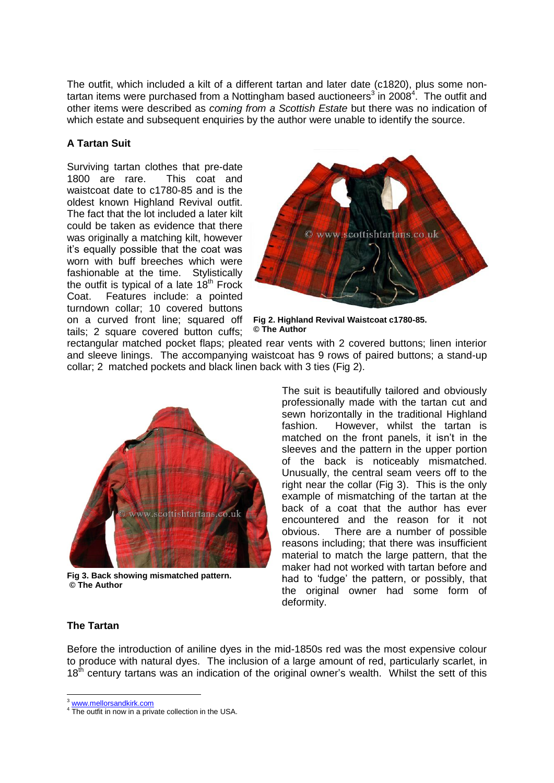The outfit, which included a kilt of a different tartan and later date (c1820), plus some nontartan items were purchased from a Nottingham based auctioneers<sup>3</sup> in 2008<sup>4</sup>. The outfit and other items were described as *coming from a Scottish Estate* but there was no indication of which estate and subsequent enquiries by the author were unable to identify the source.

# **A Tartan Suit**

Surviving tartan clothes that pre-date 1800 are rare. This coat and waistcoat date to c1780-85 and is the oldest known Highland Revival outfit. The fact that the lot included a later kilt could be taken as evidence that there was originally a matching kilt, however it's equally possible that the coat was worn with buff breeches which were fashionable at the time. Stylistically the outfit is typical of a late  $18<sup>th</sup>$  Frock Coat. Features include: a pointed turndown collar; 10 covered buttons on a curved front line; squared off tails; 2 square covered button cuffs;



**Fig 2. Highland Revival Waistcoat c1780-85. © The Author**

rectangular matched pocket flaps; pleated rear vents with 2 covered buttons; linen interior and sleeve linings. The accompanying waistcoat has 9 rows of paired buttons; a stand-up collar; 2 matched pockets and black linen back with 3 ties (Fig 2).



**Fig 3. Back showing mismatched pattern. © The Author**

 The suit is beautifully tailored and obviously professionally made with the tartan cut and sewn horizontally in the traditional Highland fashion. However, whilst the tartan is matched on the front panels, it isn't in the sleeves and the pattern in the upper portion of the back is noticeably mismatched. Unusually, the central seam veers off to the right near the collar (Fig 3). This is the only example of mismatching of the tartan at the back of a coat that the author has ever encountered and the reason for it not obvious. There are a number of possible reasons including; that there was insufficient material to match the large pattern, that the maker had not worked with tartan before and had to 'fudge' the pattern, or possibly, that the original owner had some form of deformity.

### **The Tartan**

Before the introduction of aniline dyes in the mid-1850s red was the most expensive colour to produce with natural dyes. The inclusion of a large amount of red, particularly scarlet, in 18<sup>th</sup> century tartans was an indication of the original owner's wealth. Whilst the sett of this

<sup>3</sup> [www.mellorsandkirk.com](http://www.mellorsandkirk.com/)

<sup>&</sup>lt;sup>4</sup> The outfit in now in a private collection in the USA.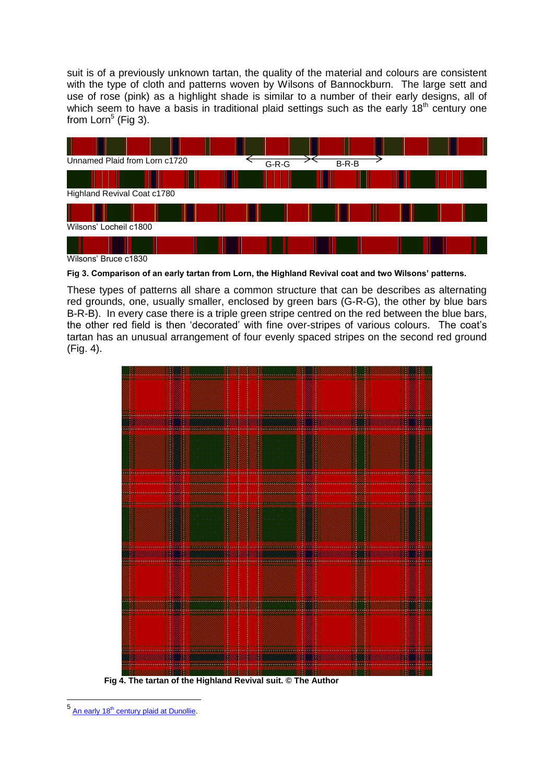suit is of a previously unknown tartan, the quality of the material and colours are consistent with the type of cloth and patterns woven by Wilsons of Bannockburn. The large sett and use of rose (pink) as a highlight shade is similar to a number of their early designs, all of which seem to have a basis in traditional plaid settings such as the early 18<sup>th</sup> century one from  $Lorn<sup>5</sup>$  (Fig 3).



**Fig 3. Comparison of an early tartan from Lorn, the Highland Revival coat and two Wilsons' patterns.**

These types of patterns all share a common structure that can be describes as alternating red grounds, one, usually smaller, enclosed by green bars (G-R-G), the other by blue bars B-R-B). In every case there is a triple green stripe centred on the red between the blue bars, the other red field is then 'decorated' with fine over-stripes of various colours. The coat's tartan has an unusual arrangement of four evenly spaced stripes on the second red ground (Fig. 4).



 **Fig 4. The tartan of the Highland Revival suit. © The Author**

<sup>-&</sup>lt;br><sup>5</sup> An early 18<sup>th</sup> century plaid at Dunollie.